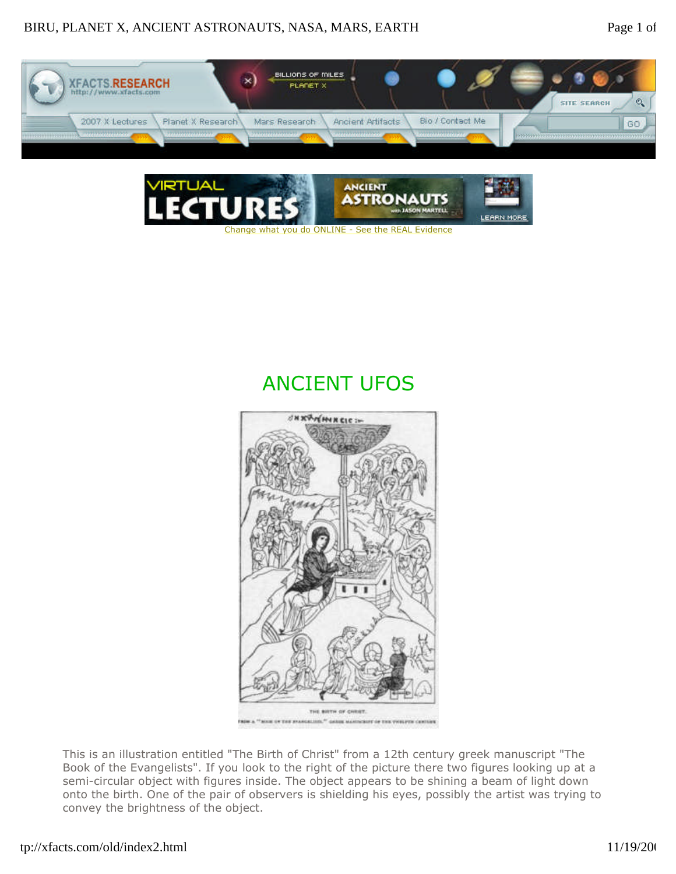



## ANCIENT UFOS



This is an illustration entitled "The Birth of Christ" from a 12th century greek manuscript "The Book of the Evangelists". If you look to the right of the picture there two figures looking up at a semi-circular object with figures inside. The object appears to be shining a beam of light down onto the birth. One of the pair of observers is shielding his eyes, possibly the artist was trying to convey the brightness of the object.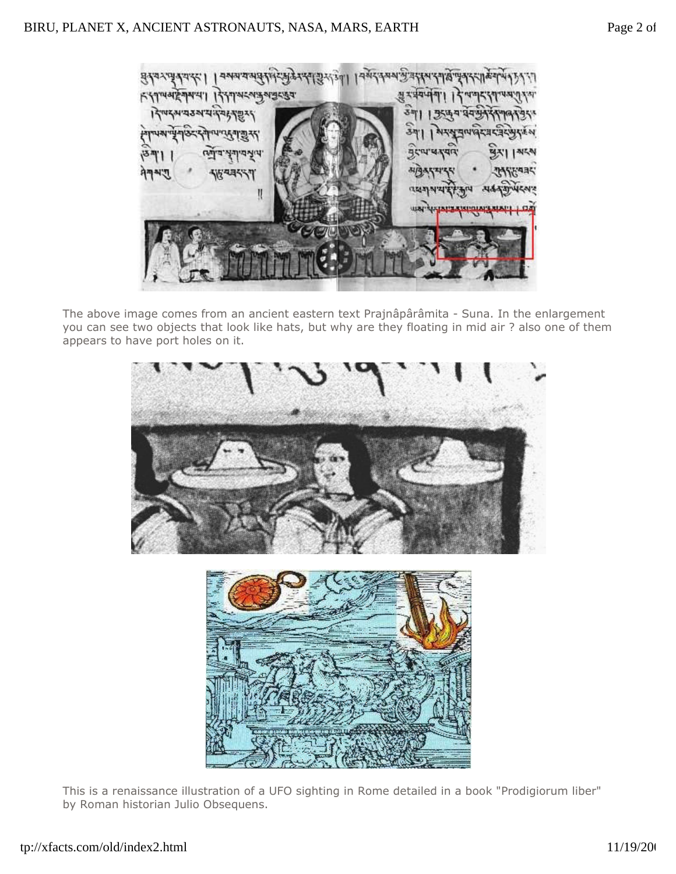। यसदत्य अनुवार स्थान हैं 93301 নৰ য'য  $8434.4$ श्रे र वेयप्  $K$ {144244441 बुद्जुव निषदमयउत्रय 34 3544 शरसूचापादरम य र न्य पदयार NE N  $755$ ঀশশশ্ いほく *<b>REAL NEWS*  $\mathbf{I}$ **USA** *<u>retioned</u>* 

The above image comes from an ancient eastern text Prajnâpârâmita - Suna. In the enlargement you can see two objects that look like hats, but why are they floating in mid air ? also one of them appears to have port holes on it.



This is a renaissance illustration of a UFO sighting in Rome detailed in a book "Prodigiorum liber" by Roman historian Julio Obsequens.